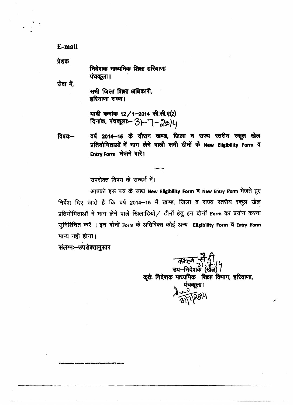E-mail

प्रेशक

निदेशक माध्यमिक शिक्षा हरियाणा पंचकूला।

सेवा में.

सभी जिला शिक्षा अधिकारी, हरियाणा राज्य।

यादी कमांक 12/1-2014 सी.सी.ए(2) विनांक, पंचकूला - 31-7-2014

वर्ष 2014–15 के दौरान खण्ड, जिला व राज्य स्तरीय स्कूल खेल विषयः— प्रतियोगिताओं में भाग लेने वाली सभी टीमों के New Eligibility Form व Entry Form भेजने बारे।

उपरोक्त विषय के सन्दर्भ में।

आपको इस पत्र के साथ New Eligibility Form व New Entry Form भेजते हुए निर्देश दिए जाते है कि वर्ष 2014-15 में खण्ड, जिला व राज्य स्तरीय स्कूल खेल प्रतियोगिताओं में भाग लेने वाले खिलाडियों / टीमों हेतु इन दोनों Form का प्रयोग करना सुनिश्चित करें । इन दोनों Form के अतिरिक्त कोई अन्य Eligibility Form व Entry Form मान्य नही होगा।

संलग्नः- उपरोक्तानुसार

*बिरला से* नी<br>उप-निदेशक (खेल)। कृतेः निदेशक माध्यमिक शिक्षा विभाग, हरियाणा, पंचकूला ।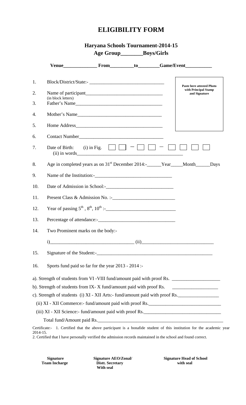## **ELIGIBILITY FORM**

**Age Group\_\_\_\_\_\_\_\_Boys/Girls** 

|          |                                                                           |                                                            |  | Venue______________________From___________to__________Game/Event________________                                      |  |  |  |  |  |  |  |
|----------|---------------------------------------------------------------------------|------------------------------------------------------------|--|-----------------------------------------------------------------------------------------------------------------------|--|--|--|--|--|--|--|
| 1.       | Block/District/State:-                                                    |                                                            |  |                                                                                                                       |  |  |  |  |  |  |  |
| 2.       | <b>Paste here attested Photo</b><br>with Principal Stamp<br>and Signature |                                                            |  |                                                                                                                       |  |  |  |  |  |  |  |
| 3.       | (in block letters)<br>Father's Name                                       |                                                            |  |                                                                                                                       |  |  |  |  |  |  |  |
| 4.       |                                                                           |                                                            |  |                                                                                                                       |  |  |  |  |  |  |  |
| 5.       |                                                                           |                                                            |  |                                                                                                                       |  |  |  |  |  |  |  |
| 6.       |                                                                           |                                                            |  |                                                                                                                       |  |  |  |  |  |  |  |
| 7.       | Date of Birth:                                                            | (i) in Fig. $\Box$ $\Box$ $\Box$ $\Box$<br>$(ii)$ in words |  |                                                                                                                       |  |  |  |  |  |  |  |
| 8.       |                                                                           |                                                            |  | Age in completed years as on 31 <sup>st</sup> December 2014:-_____Year____Month_____Days                              |  |  |  |  |  |  |  |
| 9.       |                                                                           |                                                            |  |                                                                                                                       |  |  |  |  |  |  |  |
| 10.      |                                                                           |                                                            |  |                                                                                                                       |  |  |  |  |  |  |  |
| 11.      |                                                                           |                                                            |  |                                                                                                                       |  |  |  |  |  |  |  |
| 12.      |                                                                           |                                                            |  |                                                                                                                       |  |  |  |  |  |  |  |
| 13.      |                                                                           |                                                            |  |                                                                                                                       |  |  |  |  |  |  |  |
| 14.      | Two Prominent marks on the body:-                                         |                                                            |  |                                                                                                                       |  |  |  |  |  |  |  |
|          | 1)                                                                        |                                                            |  |                                                                                                                       |  |  |  |  |  |  |  |
| 15.      |                                                                           |                                                            |  |                                                                                                                       |  |  |  |  |  |  |  |
| 16.      | Sports fund paid so far for the year 2013 - 2014 :-                       |                                                            |  |                                                                                                                       |  |  |  |  |  |  |  |
|          |                                                                           |                                                            |  |                                                                                                                       |  |  |  |  |  |  |  |
|          | b). Strength of students from IX-X fund/amount paid with proof Rs.        |                                                            |  |                                                                                                                       |  |  |  |  |  |  |  |
|          |                                                                           |                                                            |  | c). Strength of students (i) XI - XII Arts:- fund/amount paid with proof Rs.                                          |  |  |  |  |  |  |  |
|          |                                                                           |                                                            |  | (ii) XI - XII Commerce:- fund/amount paid with proof Rs.                                                              |  |  |  |  |  |  |  |
|          |                                                                           |                                                            |  | (iii) XI - XII Science: fund/amount paid with proof Rs.                                                               |  |  |  |  |  |  |  |
|          |                                                                           |                                                            |  | Total fund/Amount paid Rs.                                                                                            |  |  |  |  |  |  |  |
| 2014-15. |                                                                           |                                                            |  | Certificate:- 1. Certified that the above participant is a bonafide student of this institution for the academic year |  |  |  |  |  |  |  |

2. Certified that I have personally verified the admission records maintained in the school and found correct.

**Distt. Secretary With seal** 

Signature Signature AEO/Zonal/ Signature Head of School Team Incharge **Distit.** Secretary **Signature Head of School**